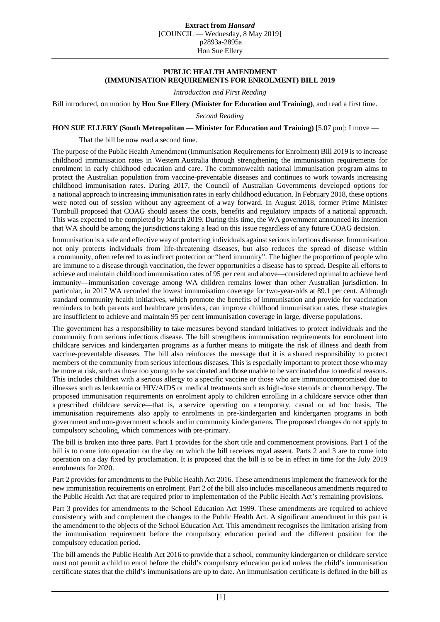## **PUBLIC HEALTH AMENDMENT (IMMUNISATION REQUIREMENTS FOR ENROLMENT) BILL 2019**

*Introduction and First Reading*

Bill introduced, on motion by **Hon Sue Ellery (Minister for Education and Training)**, and read a first time.

*Second Reading*

## **HON SUE ELLERY (South Metropolitan — Minister for Education and Training)** [5.07 pm]: I move —

That the bill be now read a second time.

The purpose of the Public Health Amendment (Immunisation Requirements for Enrolment) Bill 2019 is to increase childhood immunisation rates in Western Australia through strengthening the immunisation requirements for enrolment in early childhood education and care. The commonwealth national immunisation program aims to protect the Australian population from vaccine-preventable diseases and continues to work towards increasing childhood immunisation rates. During 2017, the Council of Australian Governments developed options for a national approach to increasing immunisation rates in early childhood education. In February 2018, these options were noted out of session without any agreement of a way forward. In August 2018, former Prime Minister Turnbull proposed that COAG should assess the costs, benefits and regulatory impacts of a national approach. This was expected to be completed by March 2019. During this time, the WA government announced its intention that WA should be among the jurisdictions taking a lead on this issue regardless of any future COAG decision.

Immunisation is a safe and effective way of protecting individuals against serious infectious disease. Immunisation not only protects individuals from life-threatening diseases, but also reduces the spread of disease within a community, often referred to as indirect protection or "herd immunity". The higher the proportion of people who are immune to a disease through vaccination, the fewer opportunities a disease has to spread. Despite all efforts to achieve and maintain childhood immunisation rates of 95 per cent and above—considered optimal to achieve herd immunity—immunisation coverage among WA children remains lower than other Australian jurisdiction. In particular, in 2017 WA recorded the lowest immunisation coverage for two-year-olds at 89.1 per cent. Although standard community health initiatives, which promote the benefits of immunisation and provide for vaccination reminders to both parents and healthcare providers, can improve childhood immunisation rates, these strategies are insufficient to achieve and maintain 95 per cent immunisation coverage in large, diverse populations.

The government has a responsibility to take measures beyond standard initiatives to protect individuals and the community from serious infectious disease. The bill strengthens immunisation requirements for enrolment into childcare services and kindergarten programs as a further means to mitigate the risk of illness and death from vaccine-preventable diseases. The bill also reinforces the message that it is a shared responsibility to protect members of the community from serious infectious diseases. This is especially important to protect those who may be more at risk, such as those too young to be vaccinated and those unable to be vaccinated due to medical reasons. This includes children with a serious allergy to a specific vaccine or those who are immunocompromised due to illnesses such as leukaemia or HIV/AIDS or medical treatments such as high-dose steroids or chemotherapy. The proposed immunisation requirements on enrolment apply to children enrolling in a childcare service other than a prescribed childcare service—that is, a service operating on a temporary, casual or ad hoc basis. The immunisation requirements also apply to enrolments in pre-kindergarten and kindergarten programs in both government and non-government schools and in community kindergartens. The proposed changes do not apply to compulsory schooling, which commences with pre-primary.

The bill is broken into three parts. Part 1 provides for the short title and commencement provisions. Part 1 of the bill is to come into operation on the day on which the bill receives royal assent. Parts 2 and 3 are to come into operation on a day fixed by proclamation. It is proposed that the bill is to be in effect in time for the July 2019 enrolments for 2020.

Part 2 provides for amendments to the Public Health Act 2016. These amendments implement the framework for the new immunisation requirements on enrolment. Part 2 of the bill also includes miscellaneous amendments required to the Public Health Act that are required prior to implementation of the Public Health Act's remaining provisions.

Part 3 provides for amendments to the School Education Act 1999. These amendments are required to achieve consistency with and complement the changes to the Public Health Act. A significant amendment in this part is the amendment to the objects of the School Education Act. This amendment recognises the limitation arising from the immunisation requirement before the compulsory education period and the different position for the compulsory education period.

The bill amends the Public Health Act 2016 to provide that a school, community kindergarten or childcare service must not permit a child to enrol before the child's compulsory education period unless the child's immunisation certificate states that the child's immunisations are up to date. An immunisation certificate is defined in the bill as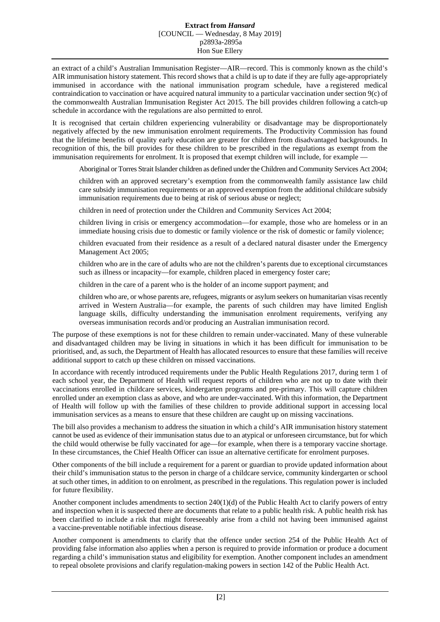## **Extract from** *Hansard* [COUNCIL — Wednesday, 8 May 2019] p2893a-2895a Hon Sue Ellery

an extract of a child's Australian Immunisation Register—AIR—record. This is commonly known as the child's AIR immunisation history statement. This record shows that a child is up to date if they are fully age-appropriately immunised in accordance with the national immunisation program schedule, have a registered medical contraindication to vaccination or have acquired natural immunity to a particular vaccination under section 9(c) of the commonwealth Australian Immunisation Register Act 2015. The bill provides children following a catch-up schedule in accordance with the regulations are also permitted to enrol.

It is recognised that certain children experiencing vulnerability or disadvantage may be disproportionately negatively affected by the new immunisation enrolment requirements. The Productivity Commission has found that the lifetime benefits of quality early education are greater for children from disadvantaged backgrounds. In recognition of this, the bill provides for these children to be prescribed in the regulations as exempt from the immunisation requirements for enrolment. It is proposed that exempt children will include, for example -

Aboriginal or Torres Strait Islander children as defined under the Children and Community Services Act 2004;

children with an approved secretary's exemption from the commonwealth family assistance law child care subsidy immunisation requirements or an approved exemption from the additional childcare subsidy immunisation requirements due to being at risk of serious abuse or neglect;

children in need of protection under the Children and Community Services Act 2004;

children living in crisis or emergency accommodation—for example, those who are homeless or in an immediate housing crisis due to domestic or family violence or the risk of domestic or family violence;

children evacuated from their residence as a result of a declared natural disaster under the Emergency Management Act 2005;

children who are in the care of adults who are not the children's parents due to exceptional circumstances such as illness or incapacity—for example, children placed in emergency foster care;

children in the care of a parent who is the holder of an income support payment; and

children who are, or whose parents are, refugees, migrants or asylum seekers on humanitarian visas recently arrived in Western Australia—for example, the parents of such children may have limited English language skills, difficulty understanding the immunisation enrolment requirements, verifying any overseas immunisation records and/or producing an Australian immunisation record.

The purpose of these exemptions is not for these children to remain under-vaccinated. Many of these vulnerable and disadvantaged children may be living in situations in which it has been difficult for immunisation to be prioritised, and, as such, the Department of Health has allocated resources to ensure that these families will receive additional support to catch up these children on missed vaccinations.

In accordance with recently introduced requirements under the Public Health Regulations 2017, during term 1 of each school year, the Department of Health will request reports of children who are not up to date with their vaccinations enrolled in childcare services, kindergarten programs and pre-primary. This will capture children enrolled under an exemption class as above, and who are under-vaccinated. With this information, the Department of Health will follow up with the families of these children to provide additional support in accessing local immunisation services as a means to ensure that these children are caught up on missing vaccinations.

The bill also provides a mechanism to address the situation in which a child's AIR immunisation history statement cannot be used as evidence of their immunisation status due to an atypical or unforeseen circumstance, but for which the child would otherwise be fully vaccinated for age—for example, when there is a temporary vaccine shortage. In these circumstances, the Chief Health Officer can issue an alternative certificate for enrolment purposes.

Other components of the bill include a requirement for a parent or guardian to provide updated information about their child's immunisation status to the person in charge of a childcare service, community kindergarten or school at such other times, in addition to on enrolment, as prescribed in the regulations. This regulation power is included for future flexibility.

Another component includes amendments to section 240(1)(d) of the Public Health Act to clarify powers of entry and inspection when it is suspected there are documents that relate to a public health risk. A public health risk has been clarified to include a risk that might foreseeably arise from a child not having been immunised against a vaccine-preventable notifiable infectious disease.

Another component is amendments to clarify that the offence under section 254 of the Public Health Act of providing false information also applies when a person is required to provide information or produce a document regarding a child's immunisation status and eligibility for exemption. Another component includes an amendment to repeal obsolete provisions and clarify regulation-making powers in section 142 of the Public Health Act.